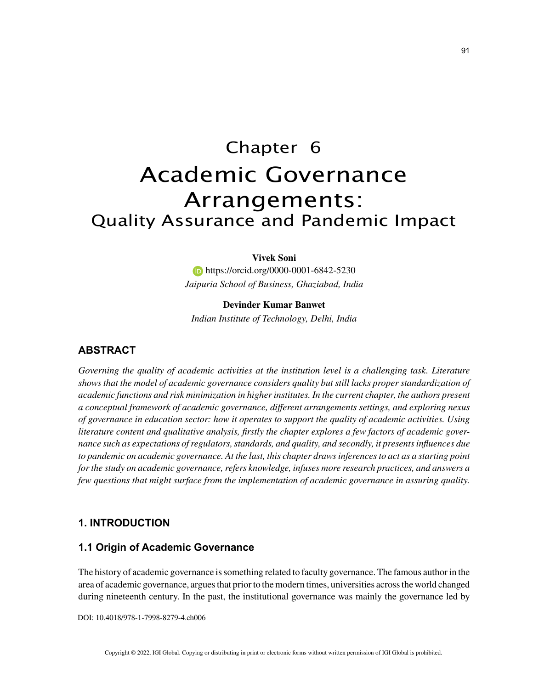# Chapter 6 Academic Governance Arrangements: Quality Assurance and Pandemic Impact

#### **Vivek Soni**

**https://orcid.org/0000-0001-6842-5230** *Jaipuria School of Business, Ghaziabad, India*

### **Devinder Kumar Banwet**

*Indian Institute of Technology, Delhi, India*

# **ABSTRACT**

*Governing the quality of academic activities at the institution level is a challenging task. Literature shows that the model of academic governance considers quality but still lacks proper standardization of academic functions and risk minimization in higher institutes. In the current chapter, the authors present a conceptual framework of academic governance, different arrangements settings, and exploring nexus of governance in education sector: how it operates to support the quality of academic activities. Using literature content and qualitative analysis, firstly the chapter explores a few factors of academic governance such as expectations of regulators, standards, and quality, and secondly, it presents influences due to pandemic on academic governance. At the last, this chapter draws inferences to act as a starting point for the study on academic governance, refers knowledge, infuses more research practices, and answers a few questions that might surface from the implementation of academic governance in assuring quality.*

### **1. INTRODUCTION**

### **1.1 Origin of Academic Governance**

The history of academic governance is something related to faculty governance. The famous author in the area of academic governance, argues that prior to the modern times, universities across the world changed during nineteenth century. In the past, the institutional governance was mainly the governance led by

DOI: 10.4018/978-1-7998-8279-4.ch006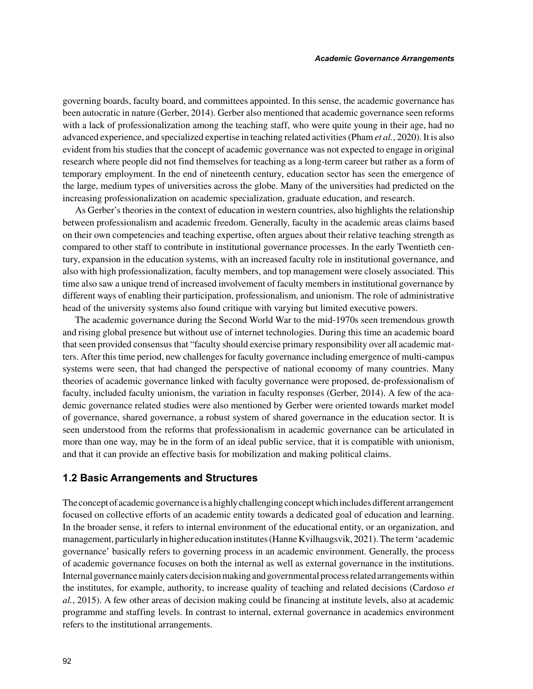governing boards, faculty board, and committees appointed. In this sense, the academic governance has been autocratic in nature (Gerber, 2014). Gerber also mentioned that academic governance seen reforms with a lack of professionalization among the teaching staff, who were quite young in their age, had no advanced experience, and specialized expertise in teaching related activities (Pham *et al.*, 2020). It is also evident from his studies that the concept of academic governance was not expected to engage in original research where people did not find themselves for teaching as a long-term career but rather as a form of temporary employment. In the end of nineteenth century, education sector has seen the emergence of the large, medium types of universities across the globe. Many of the universities had predicted on the increasing professionalization on academic specialization, graduate education, and research.

As Gerber's theories in the context of education in western countries, also highlights the relationship between professionalism and academic freedom. Generally, faculty in the academic areas claims based on their own competencies and teaching expertise, often argues about their relative teaching strength as compared to other staff to contribute in institutional governance processes. In the early Twentieth century, expansion in the education systems, with an increased faculty role in institutional governance, and also with high professionalization, faculty members, and top management were closely associated. This time also saw a unique trend of increased involvement of faculty members in institutional governance by different ways of enabling their participation, professionalism, and unionism. The role of administrative head of the university systems also found critique with varying but limited executive powers.

The academic governance during the Second World War to the mid-1970s seen tremendous growth and rising global presence but without use of internet technologies. During this time an academic board that seen provided consensus that "faculty should exercise primary responsibility over all academic matters. After this time period, new challenges for faculty governance including emergence of multi-campus systems were seen, that had changed the perspective of national economy of many countries. Many theories of academic governance linked with faculty governance were proposed, de-professionalism of faculty, included faculty unionism, the variation in faculty responses (Gerber, 2014). A few of the academic governance related studies were also mentioned by Gerber were oriented towards market model of governance, shared governance, a robust system of shared governance in the education sector. It is seen understood from the reforms that professionalism in academic governance can be articulated in more than one way, may be in the form of an ideal public service, that it is compatible with unionism, and that it can provide an effective basis for mobilization and making political claims.

#### **1.2 Basic Arrangements and Structures**

The concept of academic governance is a highly challenging concept which includes different arrangement focused on collective efforts of an academic entity towards a dedicated goal of education and learning. In the broader sense, it refers to internal environment of the educational entity, or an organization, and management, particularly in higher education institutes (Hanne Kvilhaugsvik, 2021). The term 'academic governance' basically refers to governing process in an academic environment. Generally, the process of academic governance focuses on both the internal as well as external governance in the institutions. Internal governance mainly caters decision making and governmental process related arrangements within the institutes, for example, authority, to increase quality of teaching and related decisions (Cardoso *et al.*, 2015). A few other areas of decision making could be financing at institute levels, also at academic programme and staffing levels. In contrast to internal, external governance in academics environment refers to the institutional arrangements.